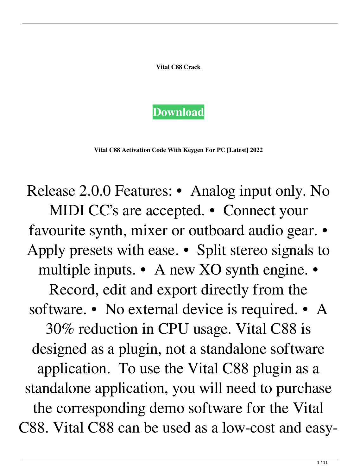**Vital C88 Crack**



**Vital C88 Activation Code With Keygen For PC [Latest] 2022**

Release 2.0.0 Features: • Analog input only. No MIDI CC's are accepted. • Connect your favourite synth, mixer or outboard audio gear. • Apply presets with ease. • Split stereo signals to multiple inputs. • A new XO synth engine. • Record, edit and export directly from the software. • No external device is required. • A 30% reduction in CPU usage. Vital C88 is designed as a plugin, not a standalone software application. To use the Vital C88 plugin as a standalone application, you will need to purchase the corresponding demo software for the Vital C88. Vital C88 can be used as a low-cost and easy-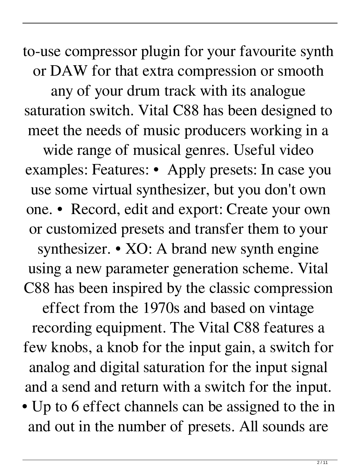to-use compressor plugin for your favourite synth or DAW for that extra compression or smooth any of your drum track with its analogue saturation switch. Vital C88 has been designed to meet the needs of music producers working in a wide range of musical genres. Useful video examples: Features: • Apply presets: In case you use some virtual synthesizer, but you don't own one. • Record, edit and export: Create your own or customized presets and transfer them to your synthesizer. • XO: A brand new synth engine using a new parameter generation scheme. Vital C88 has been inspired by the classic compression effect from the 1970s and based on vintage recording equipment. The Vital C88 features a few knobs, a knob for the input gain, a switch for analog and digital saturation for the input signal and a send and return with a switch for the input. • Up to 6 effect channels can be assigned to the in

and out in the number of presets. All sounds are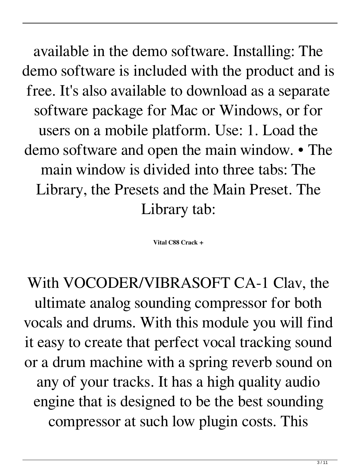available in the demo software. Installing: The demo software is included with the product and is free. It's also available to download as a separate software package for Mac or Windows, or for users on a mobile platform. Use: 1. Load the demo software and open the main window. • The main window is divided into three tabs: The Library, the Presets and the Main Preset. The Library tab:

**Vital C88 Crack +**

With VOCODER/VIBRASOFT CA-1 Clav, the ultimate analog sounding compressor for both vocals and drums. With this module you will find it easy to create that perfect vocal tracking sound or a drum machine with a spring reverb sound on any of your tracks. It has a high quality audio engine that is designed to be the best sounding compressor at such low plugin costs. This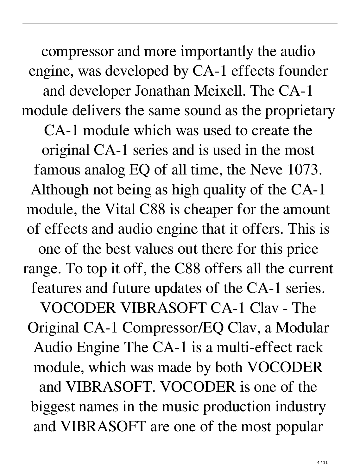compressor and more importantly the audio engine, was developed by CA-1 effects founder and developer Jonathan Meixell. The CA-1 module delivers the same sound as the proprietary CA-1 module which was used to create the original CA-1 series and is used in the most famous analog EQ of all time, the Neve 1073. Although not being as high quality of the CA-1 module, the Vital C88 is cheaper for the amount of effects and audio engine that it offers. This is one of the best values out there for this price range. To top it off, the C88 offers all the current features and future updates of the CA-1 series. VOCODER VIBRASOFT CA-1 Clav - The Original CA-1 Compressor/EQ Clav, a Modular Audio Engine The CA-1 is a multi-effect rack module, which was made by both VOCODER and VIBRASOFT. VOCODER is one of the biggest names in the music production industry and VIBRASOFT are one of the most popular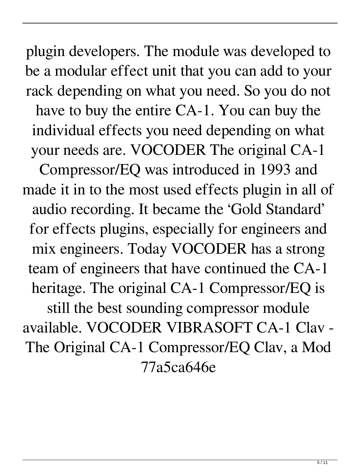plugin developers. The module was developed to be a modular effect unit that you can add to your rack depending on what you need. So you do not have to buy the entire CA-1. You can buy the individual effects you need depending on what your needs are. VOCODER The original CA-1

Compressor/EQ was introduced in 1993 and made it in to the most used effects plugin in all of audio recording. It became the 'Gold Standard' for effects plugins, especially for engineers and mix engineers. Today VOCODER has a strong team of engineers that have continued the CA-1 heritage. The original CA-1 Compressor/EQ is still the best sounding compressor module available. VOCODER VIBRASOFT CA-1 Clav - The Original CA-1 Compressor/EQ Clav, a Mod

77a5ca646e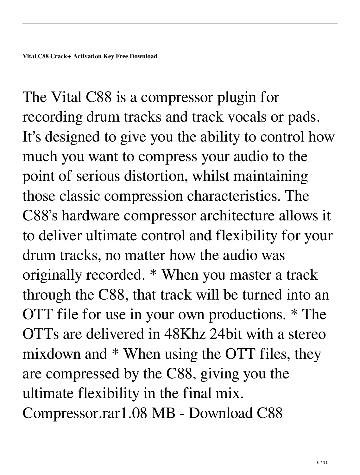The Vital C88 is a compressor plugin for recording drum tracks and track vocals or pads. It's designed to give you the ability to control how much you want to compress your audio to the point of serious distortion, whilst maintaining those classic compression characteristics. The C88's hardware compressor architecture allows it to deliver ultimate control and flexibility for your drum tracks, no matter how the audio was originally recorded. \* When you master a track through the C88, that track will be turned into an OTT file for use in your own productions. \* The OTTs are delivered in 48Khz 24bit with a stereo mixdown and \* When using the OTT files, they are compressed by the C88, giving you the ultimate flexibility in the final mix. Compressor.rar1.08 MB - Download C88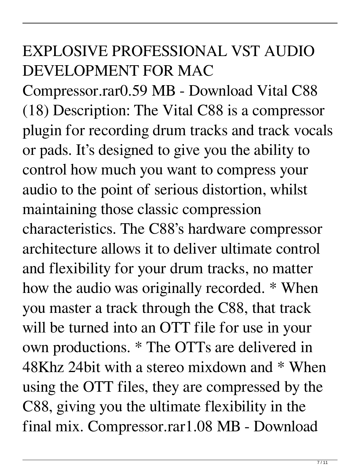## EXPLOSIVE PROFESSIONAL VST AUDIO DEVELOPMENT FOR MAC

Compressor.rar0.59 MB - Download Vital C88 (18) Description: The Vital C88 is a compressor plugin for recording drum tracks and track vocals or pads. It's designed to give you the ability to control how much you want to compress your audio to the point of serious distortion, whilst maintaining those classic compression characteristics. The C88's hardware compressor architecture allows it to deliver ultimate control and flexibility for your drum tracks, no matter how the audio was originally recorded. \* When you master a track through the C88, that track will be turned into an OTT file for use in your own productions. \* The OTTs are delivered in 48Khz 24bit with a stereo mixdown and \* When using the OTT files, they are compressed by the C88, giving you the ultimate flexibility in the final mix. Compressor.rar1.08 MB - Download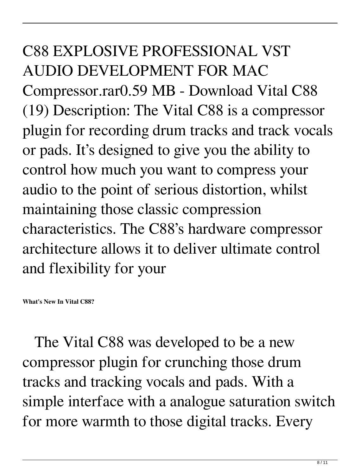C88 EXPLOSIVE PROFESSIONAL VST AUDIO DEVELOPMENT FOR MAC Compressor.rar0.59 MB - Download Vital C88 (19) Description: The Vital C88 is a compressor plugin for recording drum tracks and track vocals or pads. It's designed to give you the ability to control how much you want to compress your audio to the point of serious distortion, whilst maintaining those classic compression characteristics. The C88's hardware compressor architecture allows it to deliver ultimate control and flexibility for your

**What's New In Vital C88?**

 The Vital C88 was developed to be a new compressor plugin for crunching those drum tracks and tracking vocals and pads. With a simple interface with a analogue saturation switch for more warmth to those digital tracks. Every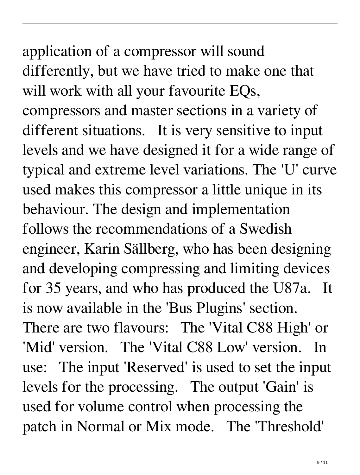## application of a compressor will sound differently, but we have tried to make one that will work with all your favourite EQs, compressors and master sections in a variety of different situations. It is very sensitive to input levels and we have designed it for a wide range of typical and extreme level variations. The 'U' curve used makes this compressor a little unique in its behaviour. The design and implementation follows the recommendations of a Swedish engineer, Karin Sällberg, who has been designing and developing compressing and limiting devices for 35 years, and who has produced the U87a. It is now available in the 'Bus Plugins' section. There are two flavours: The 'Vital C88 High' or 'Mid' version. The 'Vital C88 Low' version. In use: The input 'Reserved' is used to set the input

levels for the processing. The output 'Gain' is used for volume control when processing the patch in Normal or Mix mode. The 'Threshold'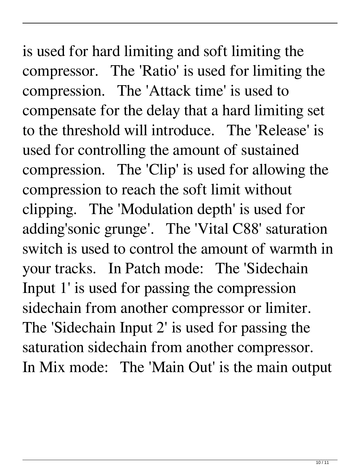is used for hard limiting and soft limiting the compressor. The 'Ratio' is used for limiting the compression. The 'Attack time' is used to compensate for the delay that a hard limiting set to the threshold will introduce. The 'Release' is used for controlling the amount of sustained compression. The 'Clip' is used for allowing the compression to reach the soft limit without clipping. The 'Modulation depth' is used for adding'sonic grunge'. The 'Vital C88' saturation switch is used to control the amount of warmth in your tracks. In Patch mode: The 'Sidechain Input 1' is used for passing the compression sidechain from another compressor or limiter. The 'Sidechain Input 2' is used for passing the saturation sidechain from another compressor. In Mix mode: The 'Main Out' is the main output